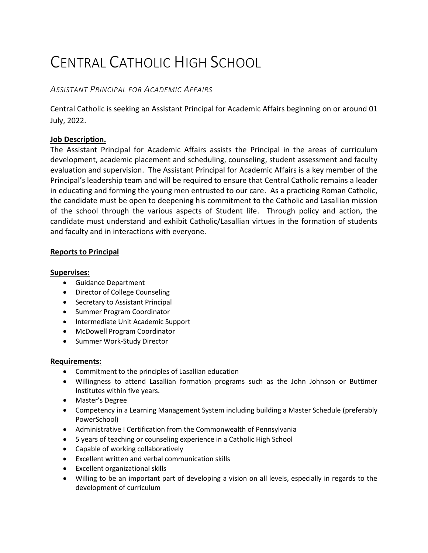# CENTRAL CATHOLIC HIGH SCHOOL

# *ASSISTANT PRINCIPAL FOR ACADEMIC AFFAIRS*

Central Catholic is seeking an Assistant Principal for Academic Affairs beginning on or around 01 July, 2022.

# **Job Description.**

The Assistant Principal for Academic Affairs assists the Principal in the areas of curriculum development, academic placement and scheduling, counseling, student assessment and faculty evaluation and supervision. The Assistant Principal for Academic Affairs is a key member of the Principal's leadership team and will be required to ensure that Central Catholic remains a leader in educating and forming the young men entrusted to our care. As a practicing Roman Catholic, the candidate must be open to deepening his commitment to the Catholic and Lasallian mission of the school through the various aspects of Student life. Through policy and action, the candidate must understand and exhibit Catholic/Lasallian virtues in the formation of students and faculty and in interactions with everyone.

# **Reports to Principal**

# **Supervises:**

- Guidance Department
- Director of College Counseling
- Secretary to Assistant Principal
- Summer Program Coordinator
- Intermediate Unit Academic Support
- McDowell Program Coordinator
- Summer Work-Study Director

#### **Requirements:**

- Commitment to the principles of Lasallian education
- Willingness to attend Lasallian formation programs such as the John Johnson or Buttimer Institutes within five years.
- Master's Degree
- Competency in a Learning Management System including building a Master Schedule (preferably PowerSchool)
- Administrative I Certification from the Commonwealth of Pennsylvania
- 5 years of teaching or counseling experience in a Catholic High School
- Capable of working collaboratively
- Excellent written and verbal communication skills
- Excellent organizational skills
- Willing to be an important part of developing a vision on all levels, especially in regards to the development of curriculum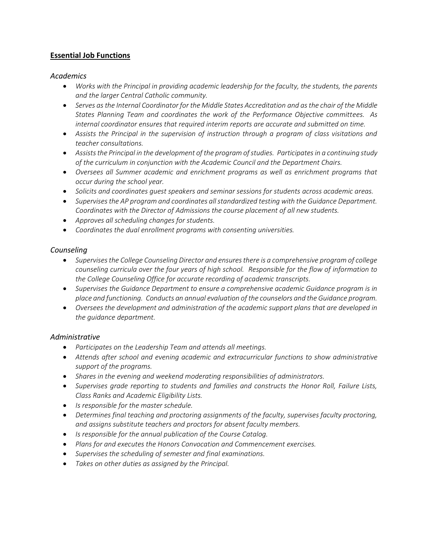# **Essential Job Functions**

#### *Academics*

- *Works with the Principal in providing academic leadership for the faculty, the students, the parents and the larger Central Catholic community.*
- *Serves as the Internal Coordinator for the Middle States Accreditation and as the chair of the Middle States Planning Team and coordinates the work of the Performance Objective committees. As internal coordinator ensures that required interim reports are accurate and submitted on time.*
- *Assists the Principal in the supervision of instruction through a program of class visitations and teacher consultations.*
- *Assists the Principal in the development of the program of studies. Participates in a continuing study of the curriculum in conjunction with the Academic Council and the Department Chairs.*
- *Oversees all Summer academic and enrichment programs as well as enrichment programs that occur during the school year.*
- *Solicits and coordinates guest speakers and seminar sessions for students across academic areas.*
- *Supervises the AP program and coordinates all standardized testing with the Guidance Department. Coordinates with the Director of Admissions the course placement of all new students.*
- *Approves all scheduling changes for students.*
- *Coordinates the dual enrollment programs with consenting universities.*

#### *Counseling*

- *Supervises the College Counseling Director and ensures there is a comprehensive program of college counseling curricula over the four years of high school. Responsible for the flow of information to the College Counseling Office for accurate recording of academic transcripts.*
- *Supervises the Guidance Department to ensure a comprehensive academic Guidance program is in place and functioning. Conducts an annual evaluation of the counselors and the Guidance program.*
- *Oversees the development and administration of the academic support plans that are developed in the guidance department.*

#### *Administrative*

- *Participates on the Leadership Team and attends all meetings.*
- *Attends after school and evening academic and extracurricular functions to show administrative support of the programs.*
- *Shares in the evening and weekend moderating responsibilities of administrators.*
- *Supervises grade reporting to students and families and constructs the Honor Roll, Failure Lists, Class Ranks and Academic Eligibility Lists.*
- *Is responsible for the master schedule.*
- *Determines final teaching and proctoring assignments of the faculty, supervises faculty proctoring, and assigns substitute teachers and proctors for absent faculty members.*
- *Is responsible for the annual publication of the Course Catalog.*
- *Plans for and executes the Honors Convocation and Commencement exercises.*
- *Supervises the scheduling of semester and final examinations.*
- *Takes on other duties as assigned by the Principal.*